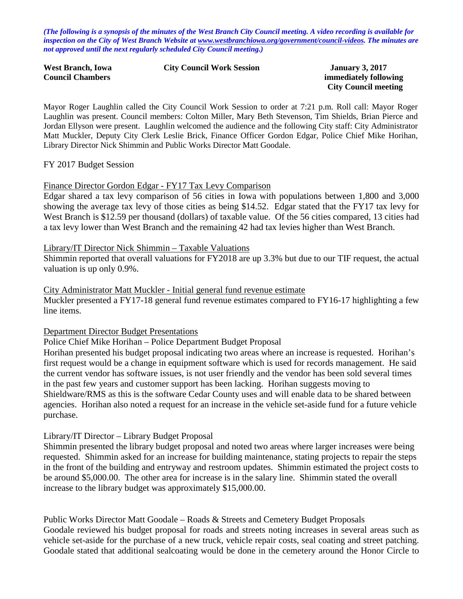*(The following is a synopsis of the minutes of the West Branch City Council meeting. A video recording is available for inspection on the City of West Branch Website at [www.westbranchiowa.org/government/council-videos.](http://www.westbranchiowa.org/government/council-videos) The minutes are not approved until the next regularly scheduled City Council meeting.)*

| <b>West Branch, Iowa</b> | <b>City Council Work Session</b> |
|--------------------------|----------------------------------|
| <b>Council Chambers</b>  |                                  |

**January 3, 2017 immediately following City Council meeting**

Mayor Roger Laughlin called the City Council Work Session to order at 7:21 p.m. Roll call: Mayor Roger Laughlin was present. Council members: Colton Miller, Mary Beth Stevenson, Tim Shields, Brian Pierce and Jordan Ellyson were present. Laughlin welcomed the audience and the following City staff: City Administrator Matt Muckler, Deputy City Clerk Leslie Brick, Finance Officer Gordon Edgar, Police Chief Mike Horihan, Library Director Nick Shimmin and Public Works Director Matt Goodale.

### FY 2017 Budget Session

### Finance Director Gordon Edgar - FY17 Tax Levy Comparison

Edgar shared a tax levy comparison of 56 cities in Iowa with populations between 1,800 and 3,000 showing the average tax levy of those cities as being \$14.52. Edgar stated that the FY17 tax levy for West Branch is \$12.59 per thousand (dollars) of taxable value. Of the 56 cities compared, 13 cities had a tax levy lower than West Branch and the remaining 42 had tax levies higher than West Branch.

#### Library/IT Director Nick Shimmin – Taxable Valuations

Shimmin reported that overall valuations for FY2018 are up 3.3% but due to our TIF request, the actual valuation is up only 0.9%.

#### City Administrator Matt Muckler - Initial general fund revenue estimate

Muckler presented a FY17-18 general fund revenue estimates compared to FY16-17 highlighting a few line items.

### Department Director Budget Presentations

Police Chief Mike Horihan – Police Department Budget Proposal

Horihan presented his budget proposal indicating two areas where an increase is requested. Horihan's first request would be a change in equipment software which is used for records management. He said the current vendor has software issues, is not user friendly and the vendor has been sold several times in the past few years and customer support has been lacking. Horihan suggests moving to Shieldware/RMS as this is the software Cedar County uses and will enable data to be shared between agencies. Horihan also noted a request for an increase in the vehicle set-aside fund for a future vehicle purchase.

### Library/IT Director – Library Budget Proposal

Shimmin presented the library budget proposal and noted two areas where larger increases were being requested. Shimmin asked for an increase for building maintenance, stating projects to repair the steps in the front of the building and entryway and restroom updates. Shimmin estimated the project costs to be around \$5,000.00. The other area for increase is in the salary line. Shimmin stated the overall increase to the library budget was approximately \$15,000.00.

Public Works Director Matt Goodale – Roads & Streets and Cemetery Budget Proposals Goodale reviewed his budget proposal for roads and streets noting increases in several areas such as vehicle set-aside for the purchase of a new truck, vehicle repair costs, seal coating and street patching. Goodale stated that additional sealcoating would be done in the cemetery around the Honor Circle to